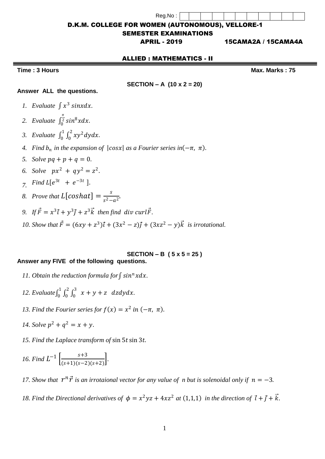| Reg.No: |  |  |  |  |  |  |
|---------|--|--|--|--|--|--|

D.K.M. COLLEGE FOR WOMEN (AUTONOMOUS), VELLORE-1

### SEMESTER EXAMINATIONS

APRIL - 2019 15CAMA2A / 15CAMA4A

### ALLIED : MATHEMATICS - II

**Time : 3 Hours Max.** Marks : 75

**SECTION – A (10 x 2 = 20)**

### **Answer ALL the questions.**

- 1. Evaluate  $\int x^3 \sin x dx$ .
- 2. *Evaluate*  $\int_{0}^{\frac{\pi}{2}} \sin^8 x dx$  $\int_0^2 \sin^8 x dx$ .
- 3. Evaluate  $\int_0^1 \int_0^2 xy^2 dy dx$ . 0 1  $\boldsymbol{0}$
- *4. Find*  $b_n$  *in the expansion of*  $|cosx|$  *as a Fourier series in* $(-\pi, \pi)$ *.*
- *5. Solve*  $pq + p + q = 0$ .
- 6. Solve  $px^2 + qy^2 = z^2$ .
- *7. Find*  $L[e^{3t} + e^{-3t}]$ .
- *8. Prove that*  $L[coshat] = \frac{s}{a^2}$  $\frac{3}{s^2-a^2}$ .
- 9. If  $\vec{F} = x^3 \vec{\iota} + y^3 \vec{\jmath} + z^3 \vec{k}$  then find div curl $\vec{F}$ .
- *10. Show that*  $\vec{F} = (6xy + z^3)\vec{i} + (3x^2 z)\vec{j} + (3xz^2 y)\vec{k}$  *is irrotational.*

# **SECTION – B ( 5 x 5 = 25 )**

## **Answer any FIVE of the following questions.**

- 11. Obtain the reduction formula for  $\int$  sin<sup>n</sup> xdx.
- *12.* Evaluate  $\int_0^1 \int_0^2 \int_0^3 x + y + z \, dz dy dx$ 0 2 0 1  $\int_0^1 \int_0^2 \int_0^3 x + y + z \, dz dy dx$ .
- 13. Find the Fourier series for  $f(x) = x^2$  in  $(-\pi, \pi)$ .
- *14. Solve*  $p^2 + q^2 = x + y$ .
- 15. Find the Laplace transform of sin 5t sin 3t.

16. Find 
$$
L^{-1} \left[ \frac{s+3}{(s+1)(s-2)(s+2)} \right]
$$
.

17. Show that  $r^n \vec{r}$  is an irrotaional vector for any value of *n* but is solenoidal only if  $n = -3$ .

18. Find the Directional derivatives of  $\phi = x^2yz + 4xz^2$  at (1,1,1) in the direction of  $\vec{t} + \vec{j} + \vec{k}$ .